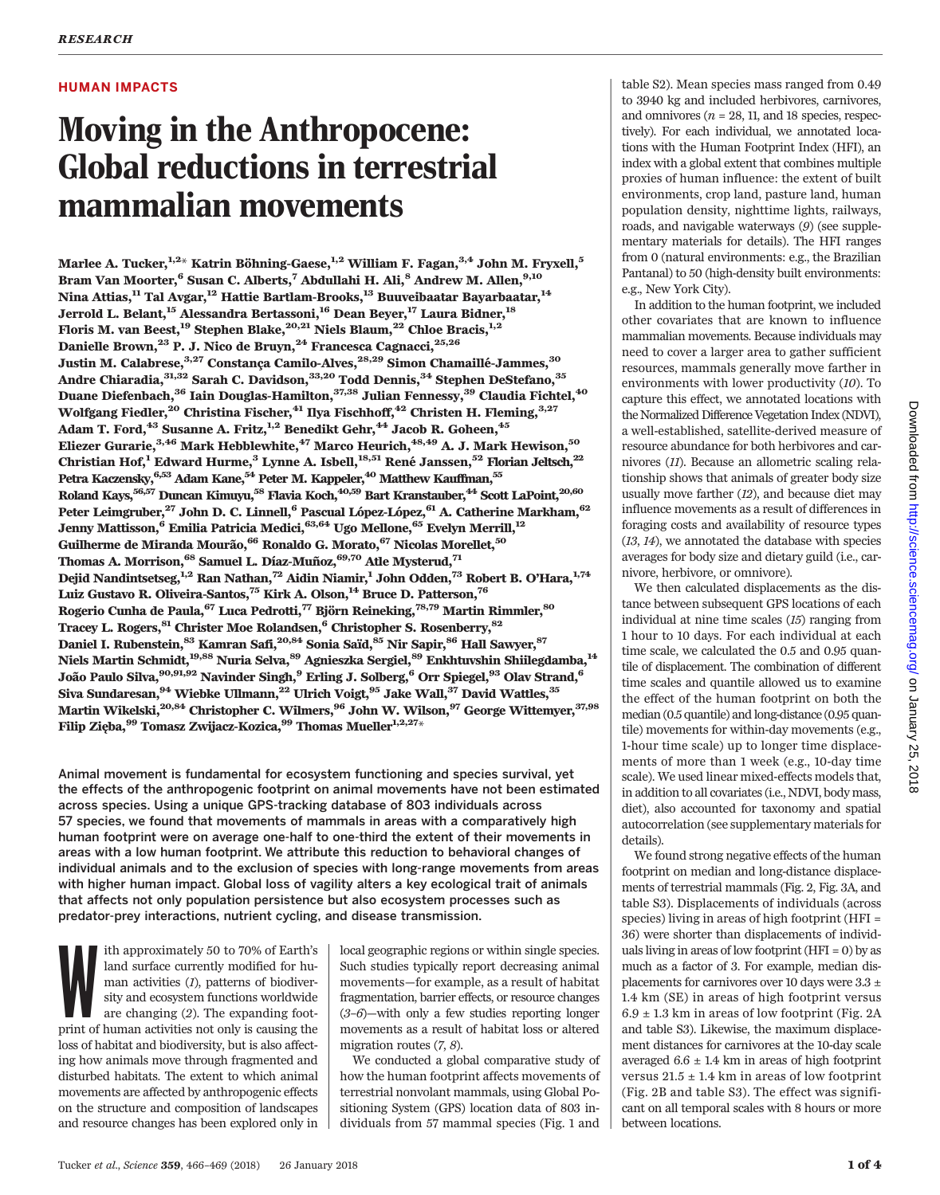## HUMAN IMPACTS

# Moving in the Anthropocene: Global reductions in terrestrial mammalian movements

Marlee A. Tucker,<sup>1,2\*</sup> Katrin Böhning-Gaese,<sup>1,2</sup> William F. Fagan,<sup>3,4</sup> John M. Fryxell,<sup>5</sup> Bram Van Moorter,<sup>6</sup> Susan C. Alberts,<sup>7</sup> Abdullahi H. Ali,<sup>8</sup> Andrew M. Allen,<sup>9,10</sup> Nina Attias,<sup>11</sup> Tal Avgar,<sup>12</sup> Hattie Bartlam-Brooks,<sup>13</sup> Buuveibaatar Bayarbaatar,<sup>14</sup> Jerrold L. Belant,<sup>15</sup> Alessandra Bertassoni,<sup>16</sup> Dean Beyer,<sup>17</sup> Laura Bidner,<sup>18</sup> Floris M. van Beest, <sup>19</sup> Stephen Blake, <sup>20,21</sup> Niels Blaum, <sup>22</sup> Chloe Bracis, <sup>1,2</sup> Danielle Brown,<sup>23</sup> P. J. Nico de Bruyn,<sup>24</sup> Francesca Cagnacci,<sup>25,26</sup> Justin M. Calabrese,<sup>3,27</sup> Constança Camilo-Alves,<sup>28,29</sup> Simon Chamaillé-Jammes,<sup>30</sup> Andre Chiaradia, $^{31,32}$  Sarah C. Davidson, $^{33,20}$  Todd Dennis, $^{34}$  Stephen DeStefano, $^{35}$ Duane Diefenbach,  $36$  Iain Douglas-Hamilton,  $37,38$  Julian Fennessy,  $39$  Claudia Fichtel,  $40$ Wolfgang Fiedler,<sup>20</sup> Christina Fischer,<sup>41</sup> Ilya Fischhoff,<sup>42</sup> Christen H. Fleming,<sup>3,27</sup> Adam T. Ford, $^{43}$  Susanne A. Fritz, $^{1,2}$  Benedikt Gehr, $^{44}$  Jacob R. Goheen, $^{45}$ Eliezer Gurarie, $^{3,46}$  Mark Hebblewhite, $^{47}$  Marco Heurich, $^{48,49}$  A. J. Mark Hewison, $^{50}$ Christian Hof,<sup>1</sup> Edward Hurme,<sup>3</sup> Lynne A. Isbell,<sup>18,51</sup> René Janssen,<sup>52</sup> Florian Jeltsch,<sup>22</sup> Petra Kaczensky, $^{6,53}$  Adam Kane, $^{54}$  Peter M. Kappeler, $^{40}$  Matthew Kauffman, $^{55}$ Roland Kays, $^{56,57}$  Duncan Kimuyu, $^{58}$  Flavia Koch, $^{40,59}$  Bart Kranstauber, $^{44}$  Scott LaPoint, $^{20,60}$ Peter Leimgruber,<sup>27</sup> John D. C. Linnell,<sup>6</sup> Pascual López-López,<sup>61</sup> A. Catherine Markham,<sup>62</sup> Jenny Mattisson,<sup>6</sup> Emilia Patricia Medici, 63,64 Ugo Mellone, <sup>65</sup> Evelyn Merrill, <sup>12</sup> Guilherme de Miranda Mourão, 66 Ronaldo G. Morato, 67 Nicolas Morellet, 50 Thomas A. Morrison, <sup>68</sup> Samuel L. Díaz-Muñoz, <sup>69,70</sup> Atle Mysterud, <sup>71</sup> Dejid Nandintsetseg,  $^{1,2}$  Ran Nathan,  $^{72}$  Aidin Niamir, 1 John Odden,  $^{73}$  Robert B. O'Hara,  $^{1,74}$ Luiz Gustavo R. Oliveira-Santos,<sup>75</sup> Kirk A. Olson,<sup>14</sup> Bruce D. Patterson,<sup>76</sup> Rogerio Cunha de Paula,<sup>67</sup> Luca Pedrotti,<sup>77</sup> Björn Reineking,<sup>78,79</sup> Martin Rimmler,<sup>80</sup> Tracey L. Rogers, <sup>81</sup> Christer Moe Rolandsen, <sup>6</sup> Christopher S. Rosenberry, <sup>82</sup> Daniel I. Rubenstein, $^{83}$  Kamran Safi, $^{20,84}$  Sonia Saïd, $^{85}$  Nir Sapir, $^{86}$  Hall Sawyer, $^{87}$ Niels Martin Schmidt,<sup>19,88</sup> Nuria Selva,<sup>89</sup> Agnieszka Sergiel,<sup>89</sup> Enkhtuvshin Shiilegdamba,<sup>14</sup> João Paulo Silva, $^{90,91,92}$  Navinder Singh, $^9$  Erling J. Solberg, $^6$  Orr Spiegel, $^{93}$  Olav Strand, $^6$ Siva Sundaresan, $^{94}$  Wiebke Ullmann, $^{22}$  Ulrich Voigt, $^{95}$  Jake Wall, $^{37}$  David Wattles, $^{35}$ Martin Wikelski, $^{20,84}$  Christopher C. Wilmers, $^{96}$  John W. Wilson, $^{97}$  George Wittemyer, $^{37,98}$ Filip Zięba,  $99$  Tomasz Zwijacz-Kozica,  $99$  Thomas Mueller<sup>1,2,27</sup>\*

Animal movement is fundamental for ecosystem functioning and species survival, yet the effects of the anthropogenic footprint on animal movements have not been estimated across species. Using a unique GPS-tracking database of 803 individuals across 57 species, we found that movements of mammals in areas with a comparatively high human footprint were on average one-half to one-third the extent of their movements in areas with a low human footprint. We attribute this reduction to behavioral changes of individual animals and to the exclusion of species with long-range movements from areas with higher human impact. Global loss of vagility alters a key ecological trait of animals that affects not only population persistence but also ecosystem processes such as predator-prey interactions, nutrient cycling, and disease transmission.

ith approximately 50 to 70% of Earth's<br>land surface currently modified for human activities (*I*), patterns of biodiver-<br>sity and ecosystem functions worldwide<br>are changing (2). The expanding foot-<br>print of human activitie ith approximately 50 to 70% of Earth's land surface currently modified for human activities (1), patterns of biodiversity and ecosystem functions worldwide are changing (2). The expanding footloss of habitat and biodiversity, but is also affecting how animals move through fragmented and disturbed habitats. The extent to which animal movements are affected by anthropogenic effects on the structure and composition of landscapes and resource changes has been explored only in

local geographic regions or within single species. Such studies typically report decreasing animal movements—for example, as a result of habitat fragmentation, barrier effects, or resource changes (3–6)—with only a few studies reporting longer movements as a result of habitat loss or altered migration routes (7, 8).

We conducted a global comparative study of how the human footprint affects movements of terrestrial nonvolant mammals, using Global Positioning System (GPS) location data of 803 individuals from 57 mammal species (Fig. 1 and

table S2). Mean species mass ranged from 0.49 to 3940 kg and included herbivores, carnivores, and omnivores ( $n = 28$ , 11, and 18 species, respectively). For each individual, we annotated locations with the Human Footprint Index (HFI), an index with a global extent that combines multiple proxies of human influence: the extent of built environments, crop land, pasture land, human population density, nighttime lights, railways, roads, and navigable waterways (9) (see supplementary materials for details). The HFI ranges from 0 (natural environments: e.g., the Brazilian Pantanal) to 50 (high-density built environments: e.g., New York City).

In addition to the human footprint, we included other covariates that are known to influence mammalian movements. Because individuals may need to cover a larger area to gather sufficient resources, mammals generally move farther in environments with lower productivity (10). To capture this effect, we annotated locations with the Normalized Difference Vegetation Index (NDVI), a well-established, satellite-derived measure of resource abundance for both herbivores and carnivores (11). Because an allometric scaling relationship shows that animals of greater body size usually move farther (12), and because diet may influence movements as a result of differences in foraging costs and availability of resource types (13, 14), we annotated the database with species averages for body size and dietary guild (i.e., carnivore, herbivore, or omnivore).

We then calculated displacements as the distance between subsequent GPS locations of each individual at nine time scales (15) ranging from 1 hour to 10 days. For each individual at each time scale, we calculated the 0.5 and 0.95 quantile of displacement. The combination of different time scales and quantile allowed us to examine the effect of the human footprint on both the median (0.5 quantile) and long-distance (0.95 quantile) movements for within-day movements (e.g., 1-hour time scale) up to longer time displacements of more than 1 week (e.g., 10-day time scale). We used linear mixed-effects models that, in addition to all covariates (i.e., NDVI, body mass, diet), also accounted for taxonomy and spatial autocorrelation (see supplementary materials for details).

We found strong negative effects of the human footprint on median and long-distance displacements of terrestrial mammals (Fig. 2, Fig. 3A, and table S3). Displacements of individuals (across species) living in areas of high footprint (HFI = 36) were shorter than displacements of individuals living in areas of low footprint (HFI = 0) by as much as a factor of 3. For example, median displacements for carnivores over 10 days were 3.3  $\pm$ 1.4 km (SE) in areas of high footprint versus  $6.9 \pm 1.3$  km in areas of low footprint (Fig. 2A and table S3). Likewise, the maximum displacement distances for carnivores at the 10-day scale averaged  $6.6 \pm 1.4$  km in areas of high footprint versus  $21.5 \pm 1.4$  km in areas of low footprint (Fig. 2B and table S3). The effect was significant on all temporal scales with 8 hours or more between locations.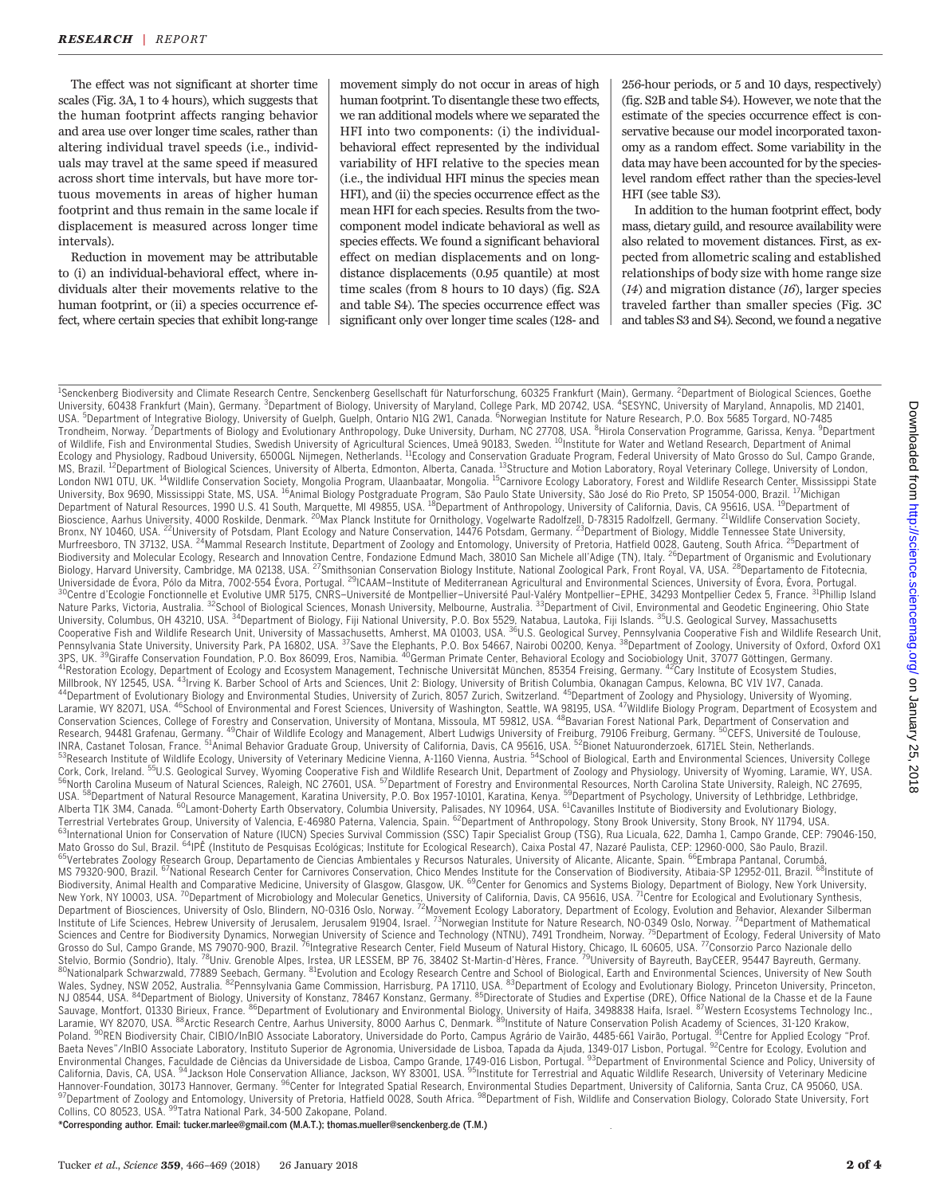The effect was not significant at shorter time scales (Fig. 3A, 1 to 4 hours), which suggests that the human footprint affects ranging behavior and area use over longer time scales, rather than altering individual travel speeds (i.e., individuals may travel at the same speed if measured across short time intervals, but have more tortuous movements in areas of higher human footprint and thus remain in the same locale if displacement is measured across longer time intervals).

Reduction in movement may be attributable to (i) an individual-behavioral effect, where individuals alter their movements relative to the human footprint, or (ii) a species occurrence effect, where certain species that exhibit long-range

movement simply do not occur in areas of high human footprint. To disentangle these two effects, we ran additional models where we separated the HFI into two components: (i) the individualbehavioral effect represented by the individual variability of HFI relative to the species mean (i.e., the individual HFI minus the species mean HFI), and (ii) the species occurrence effect as the mean HFI for each species. Results from the twocomponent model indicate behavioral as well as species effects. We found a significant behavioral effect on median displacements and on longdistance displacements (0.95 quantile) at most time scales (from 8 hours to 10 days) (fig. S2A and table S4). The species occurrence effect was significant only over longer time scales (128- and 256-hour periods, or 5 and 10 days, respectively) (fig. S2B and table S4). However, we note that the estimate of the species occurrence effect is conservative because our model incorporated taxonomy as a random effect. Some variability in the data may have been accounted for by the specieslevel random effect rather than the species-level HFI (see table S3).

In addition to the human footprint effect, body mass, dietary guild, and resource availability were also related to movement distances. First, as expected from allometric scaling and established relationships of body size with home range size  $(14)$  and migration distance  $(16)$ , larger species traveled farther than smaller species (Fig. 3C and tables S3 and S4). Second, we found a negative

<sup>1</sup>Senckenberg Biodiversity and Climate Research Centre, Senckenberg Gesellschaft für Naturforschung, 60325 Frankfurt (Main), Germany. <sup>2</sup>Department of Biological Sciences, Goethe University, 60438 Frankfurt (Main), Germany. <sup>3</sup>Department of Biology, University of Maryland, College Park, MD 20742, USA. <sup>4</sup>SESYNC, University of Maryland, Annapolis, MD 21401, USA. <sup>5</sup>Department of Integrative Biology, University of Guelph, Guelph, Ontario N1G 2W1, Canada. <sup>6</sup>Norwegian Institute for Nature Research, P.O. Box 5685 Torgard, NO-7485 Trondheim, Norway. <sup>7</sup>Departments of Biology and Evolutionary Anthropology, Duke University, Durham, NC 27708, USA. <sup>8</sup>Hirola Conservation Programme, Garissa, Kenya. <sup>9</sup>Department of Wildlife, Fish and Environmental Studies, Swedish University of Agricultural Sciences, Umeå 90183, Sweden. <sup>10</sup>Institute for Water and Wetland Research, Department of Animal<br>Ecology and Physiology, Radboud University, 6 University, Box 9690, Mississippi State, MS, USA. <sup>16</sup>Animal Biology Postgraduate Program, São Paulo State University, São José do Rio Preto, SP 15054-000, Brazil. <sup>17</sup>Michigan Department of Natural Resources, 1990 U.S. 41 South, Marquette, MI 49855, USA. <sup>18</sup>Department of Anthropology, University of California, Davis, CA 95616, USA. <sup>19</sup>Department of Bioscience, Aarhus University, 4000 Roskilde, Denmark. <sup>20</sup>Max Planck Institute for Ornithology, Vogelwarte Radolfzell, D-78315 Radolfzell, Germany. <sup>21</sup>Wildlife Conservation Society,<br>Bronx, NY 10460, USA. <sup>22</sup>University o Murfreesboro, TN 37132, USA. <sup>24</sup>Mammal Research Institute, Department of Zoology and Entomology, University of Pretoria, Hatfield 0028, Gauteng, South Africa. <sup>25</sup>Department of Biodiversity and Molecular Ecology, Research and Innovation Centre, Fondazione Edmund Mach, 38010 San Michele all'Adige (TN), Italy. <sup>26</sup>Department of Organismic and Evolutionary Biology, Harvard University, Cambridge, MA 02138, USA. <sup>27</sup>Smithsonian Conservation Biology Institute, National Zoological Park, Front Royal, VA, USA. <sup>28</sup>Departamento de Fitotecnia, Universidade de Évora, Pólo da Mitra, 7002-554 Évora, Portugal. <sup>29</sup>ICAAM-Institute of Mediterranean Agricultural and Environmental Sciences, University of Évora, Évora, Portugal.<br><sup>30</sup>Centre d'Ecologie Fonctionnelle et Evo Nature Parks, Victoria, Australia. <sup>32</sup>School of Biological Sciences, Monash University, Melbourne, Australia. <sup>33</sup>Department of Civil, Environmental and Geodetic Engineering, Ohio State<br>University, Columbus, OH 43210, USA Millbrook, NY 12545, USA. <sup>43</sup>Irving K. Barber School of Arts and Sciences, Unit 2: Biology, University of British Columbia, Okanagan Campus, Kelowna, BC V1V 1V7, Canada.<br><sup>44</sup>Department of Evolutionary Biology and Environm Conservation Sciences, College of Forestry and Conservation, University of Montana, Missoula, MT 59812, USA. <sup>48</sup>Bavarian Forest National Park, Department of Conservation and<br>Research, 94481 Grafenau, Germany. <sup>49</sup>Chair of Research, 94481 Grafenau, Germany. <sup>49</sup>Chair of Wildlife Ecology and Management, Albert Ludwigs University of Freiburg, 79106 Freiburg, Germany. NRA, Castanet Tolosan, France. <sup>51</sup>Animal Behavior Graduate Group, University of California, Davis, CA 95616, USA. <sup>52</sup>Bionet Natuuronderzoek, 6171EL Stein, Netherlands.<br><sup>53</sup>Research Institute of Wildlife Ecology, Universi Cork, Cork, Ireland. <sup>55</sup>U.S. Geological Survey, Wyoming Cooperative Fish and Wildlife Research Unit, Department of Zoology and Physiology, University of Wyoming, Laramie, WY, USA.<br><sup>56</sup>North Carolina Museum of Natural Scie Mato Grosso do Sul, Brazil. <sup>64</sup>IPE (Instituto de Pesquisas Ecológicas; Institute for Ecológical Research), Caixa Postal 47, Nazaré Paulista, CEP: 12960-000, São Paulo, Brazil.<br><sup>65</sup>Vertebrates Zoology Research Group, Depar MS 79320-900, Brazil. <sup>67</sup>National Research Center for Carnivores Conservation, Chico Mendes Institute for the Conservation of Biodiversity, Atibaia-SP 12952-011, Brazil. <sup>68</sup>Institute of Biodiversity, Animal Health and Comparative Medicine, University of Glasgow, Glasgow, UK. <sup>69</sup>Center for Genomics and Systems Biology, Department of Biology, New York University,<br>New York, NY 10003, USA. <sup>70</sup>Department of Department of Biosciences, University of Oslo, Blindern, NO-0316 Oslo, Norway. <sup>72</sup>Movement Ecology Laboratory, Department of Ecology, Evolution and Behavior, Alexander Silberman<br>Institute of Life Sciences, Hebrew Universi Wales, Sydney, NSW 2052, Australia. <sup>82</sup>Pennsylvania Game Commission, Harrisburg, PA 17110, USA. <sup>83</sup>Department of Ecology and Evolutionary Biology, Princeton University, Princeton,<br>NJ 08544, USA. <sup>84</sup>Department of Biology Poland. <sup>90</sup>REN Biodiversity Chair, CIBIO/InBIO Associate Laboratory, Universidade do Porto, Campus Agrário de Vairão, 4485-661 Vairão, Portugal. <sup>91</sup>Centre for Applied Ecology "Prof. Baeta Neves"/InBIO Associate Laborator Environmental Changes, Faculdade de Ciências da Universidade de Lisboa, Campo Grande, 1749-016 Lisbon, Portugal. <sup>93</sup>Department of Environmental Science and Policy, University of<br>California, Davis, CA, USA. <sup>94</sup>Jackson Hol Hannover-Foundation, 30173 Hannover, Germany. <sup>96</sup>Center for Integrated Spatial Research, Environmental Studies Department, University of California, Santa Cruz, CA 95060, USA.<br><sup>97</sup>Department of Zoology and Entomology, Uni \*Corresponding author. Email: tucker.marlee@gmail.com (M.A.T.); thomas.mueller@senckenberg.de (T.M.)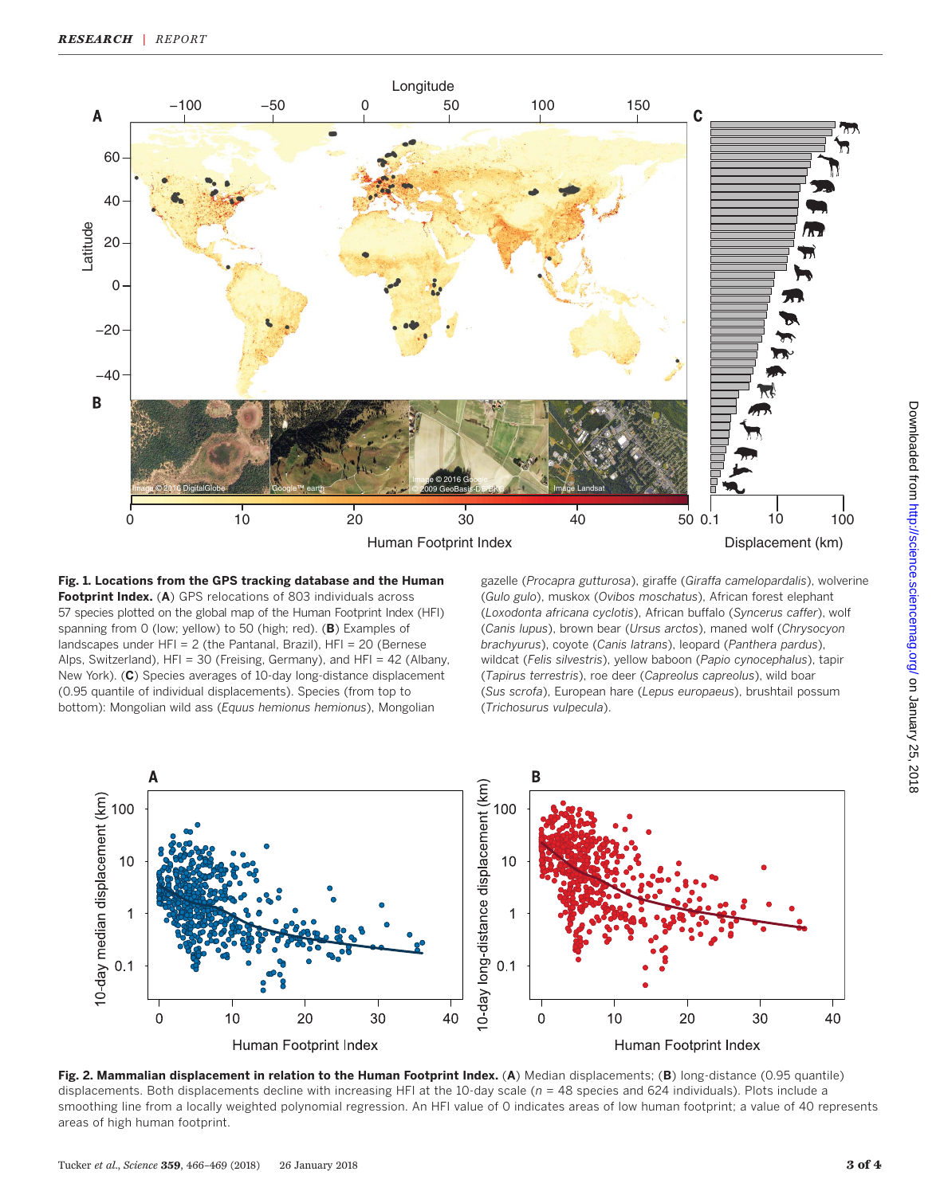

Fig. 1. Locations from the GPS tracking database and the Human Footprint Index. (A) GPS relocations of 803 individuals across 57 species plotted on the global map of the Human Footprint Index (HFI) spanning from 0 (low; yellow) to 50 (high; red). (B) Examples of landscapes under HFI = 2 (the Pantanal, Brazil), HFI = 20 (Bernese Alps, Switzerland), HFI = 30 (Freising, Germany), and HFI = 42 (Albany, New York). (C) Species averages of 10-day long-distance displacement (0.95 quantile of individual displacements). Species (from top to bottom): Mongolian wild ass (Equus hemionus hemionus), Mongolian

gazelle (Procapra gutturosa), giraffe (Giraffa camelopardalis), wolverine (Gulo gulo), muskox (Ovibos moschatus), African forest elephant (Loxodonta africana cyclotis), African buffalo (Syncerus caffer), wolf (Canis lupus), brown bear (Ursus arctos), maned wolf (Chrysocyon brachyurus), coyote (Canis latrans), leopard (Panthera pardus), wildcat (Felis silvestris), yellow baboon (Papio cynocephalus), tapir (Tapirus terrestris), roe deer (Capreolus capreolus), wild boar (Sus scrofa), European hare (Lepus europaeus), brushtail possum (Trichosurus vulpecula).



Fig. 2. Mammalian displacement in relation to the Human Footprint Index. (A) Median displacements; (B) long-distance (0.95 quantile) displacements. Both displacements decline with increasing HFI at the 10-day scale ( $n = 48$  species and 624 individuals). Plots include a smoothing line from a locally weighted polynomial regression. An HFI value of 0 indicates areas of low human footprint; a value of 40 represents areas of high human footprint.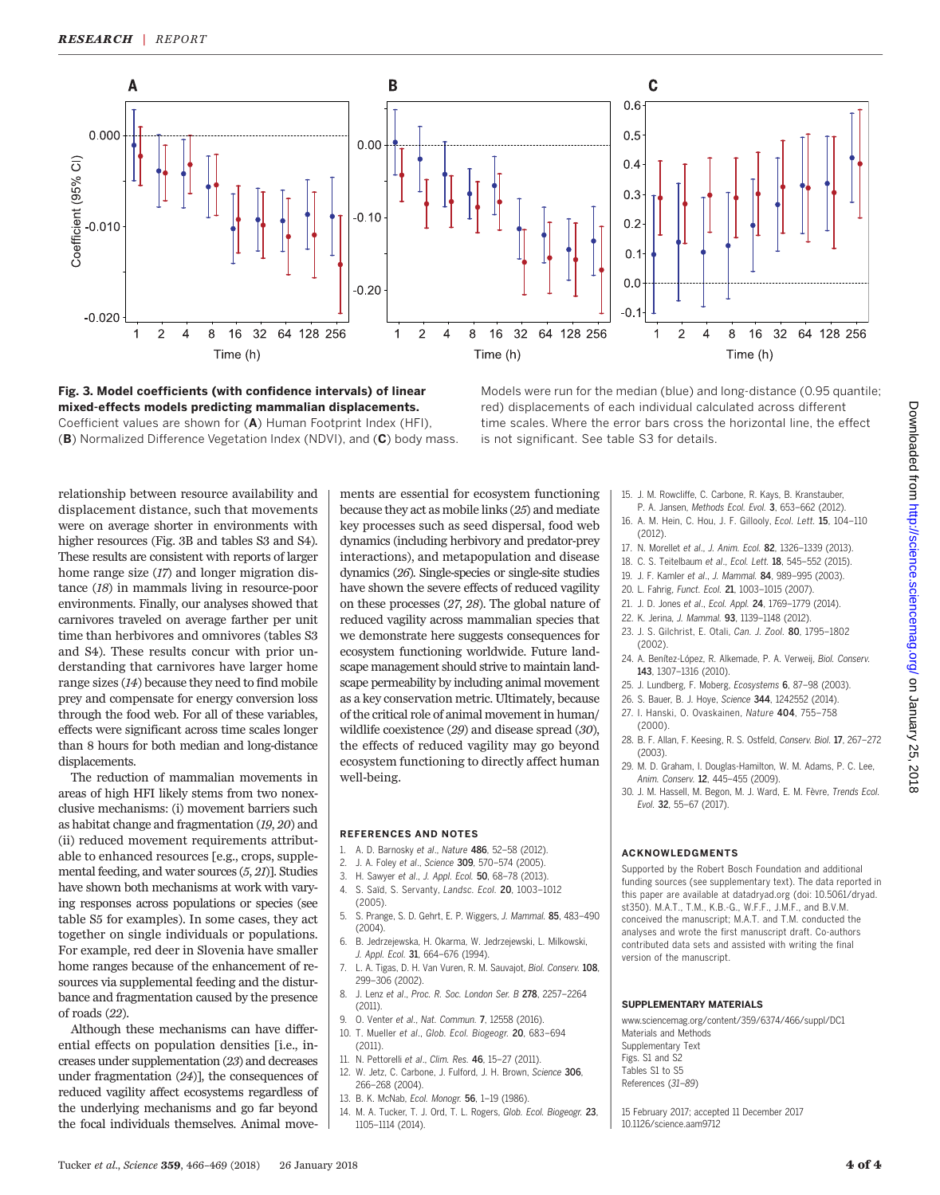

Fig. 3. Model coefficients (with confidence intervals) of linear mixed-effects models predicting mammalian displacements. Coefficient values are shown for (A) Human Footprint Index (HFI), (B) Normalized Difference Vegetation Index (NDVI), and (C) body mass. Models were run for the median (blue) and long-distance (0.95 quantile; red) displacements of each individual calculated across different time scales. Where the error bars cross the horizontal line, the effect is not significant. See table S3 for details.

relationship between resource availability and displacement distance, such that movements were on average shorter in environments with higher resources (Fig. 3B and tables S3 and S4). These results are consistent with reports of larger home range size (17) and longer migration distance (18) in mammals living in resource-poor environments. Finally, our analyses showed that carnivores traveled on average farther per unit time than herbivores and omnivores (tables S3 and S4). These results concur with prior understanding that carnivores have larger home range sizes (14) because they need to find mobile prey and compensate for energy conversion loss through the food web. For all of these variables, effects were significant across time scales longer than 8 hours for both median and long-distance displacements.

The reduction of mammalian movements in areas of high HFI likely stems from two nonexclusive mechanisms: (i) movement barriers such as habitat change and fragmentation (19, 20) and (ii) reduced movement requirements attributable to enhanced resources [e.g., crops, supplemental feeding, and water sources (5, 21)]. Studies have shown both mechanisms at work with varying responses across populations or species (see table S5 for examples). In some cases, they act together on single individuals or populations. For example, red deer in Slovenia have smaller home ranges because of the enhancement of resources via supplemental feeding and the disturbance and fragmentation caused by the presence of roads (22).

Although these mechanisms can have differential effects on population densities [i.e., increases under supplementation (23) and decreases under fragmentation (24)], the consequences of reduced vagility affect ecosystems regardless of the underlying mechanisms and go far beyond the focal individuals themselves. Animal move-

ments are essential for ecosystem functioning because they act as mobile links (25) and mediate key processes such as seed dispersal, food web dynamics (including herbivory and predator-prey interactions), and metapopulation and disease dynamics (26). Single-species or single-site studies have shown the severe effects of reduced vagility on these processes (27, 28). The global nature of reduced vagility across mammalian species that we demonstrate here suggests consequences for ecosystem functioning worldwide. Future landscape management should strive to maintain landscape permeability by including animal movement as a key conservation metric. Ultimately, because of the critical role of animal movement in human/ wildlife coexistence (29) and disease spread (30), the effects of reduced vagility may go beyond ecosystem functioning to directly affect human well-being.

#### REFERENCES AND NOTES

- 1. A. D. Barnosky et al., Nature 486, 52–58 (2012).
- 2. J. A. Foley et al., Science 309, 570-574 (2005).
- H. Sawyer et al., J. Appl. Ecol. 50, 68-78 (2013). 4. S. Saïd, S. Servanty, Landsc. Ecol. 20, 1003–1012
- $(2005)$
- 5. S. Prange, S. D. Gehrt, E. P. Wiggers, J. Mammal. 85, 483–490 (2004).
- 6. B. Jedrzejewska, H. Okarma, W. Jedrzejewski, L. Milkowski, J. Appl. Ecol. 31, 664-676 (1994).
- 7. L. A. Tigas, D. H. Van Vuren, R. M. Sauvajot, Biol. Conserv. 108, 299–306 (2002).
- 8. J. Lenz et al., Proc. R. Soc. London Ser. B 278, 2257-2264 (2011).
- 9. O. Venter et al., Nat. Commun. 7, 12558 (2016).
- 10. T. Mueller et al., Glob. Ecol. Biogeogr. 20, 683–694 (2011).
- 11. N. Pettorelli et al., Clim. Res. 46, 15–27 (2011).
- 12. W. Jetz, C. Carbone, J. Fulford, J. H. Brown, Science 306, 266–268 (2004).
- 13. B. K. McNab, Ecol. Monogr. 56, 1–19 (1986).
- 14. M. A. Tucker, T. J. Ord, T. L. Rogers, Glob. Ecol. Biogeogr. 23, 1105–1114 (2014).
- 15. J. M. Rowcliffe, C. Carbone, R. Kays, B. Kranstauber, P. A. Jansen, Methods Ecol. Evol. 3, 653–662 (2012).
- 16. A. M. Hein, C. Hou, J. F. Gillooly, Ecol. Lett. 15, 104–110 (2012).
- 17. N. Morellet et al., J. Anim. Ecol. 82, 1326–1339 (2013).
- 18. C. S. Teitelbaum et al., Ecol. Lett. 18, 545–552 (2015).
- 19. J. F. Kamler et al., J. Mammal. 84, 989-995 (2003).
- 20. L. Fahrig, Funct. Ecol. 21, 1003–1015 (2007).
- 21. J. D. Jones et al., Ecol. Appl. 24, 1769–1779 (2014).
- 22. K. Jerina, J. Mammal. 93, 1139–1148 (2012).
- 23. J. S. Gilchrist, E. Otali, Can. J. Zool. 80, 1795–1802  $(2002)$
- 24. A. Benítez-López, R. Alkemade, P. A. Verweij, Biol. Conserv. 143, 1307–1316 (2010).
- 25. J. Lundberg, F. Moberg, Ecosystems 6, 87–98 (2003).
- 26. S. Bauer, B. J. Hoye, Science 344, 1242552 (2014).
- 27. I. Hanski, O. Ovaskainen, Nature 404, 755–758 (2000).
- 28. B. F. Allan, F. Keesing, R. S. Ostfeld, Conserv. Biol. 17, 267–272 (2003).
- 29. M. D. Graham, I. Douglas-Hamilton, W. M. Adams, P. C. Lee, Anim. Conserv. 12, 445–455 (2009).
- 30. J. M. Hassell, M. Begon, M. J. Ward, E. M. Fèvre, Trends Ecol. Evol. 32, 55–67 (2017).

#### ACKNOWLEDGMENTS

Supported by the Robert Bosch Foundation and additional funding sources (see supplementary text). The data reported in this paper are available at datadryad.org (doi: 10.5061/dryad. st350). M.A.T., T.M., K.B.-G., W.F.F., J.M.F., and B.V.M. conceived the manuscript; M.A.T. and T.M. conducted the analyses and wrote the first manuscript draft. Co-authors contributed data sets and assisted with writing the final version of the manuscript.

#### SUPPLEMENTARY MATERIALS

www.sciencemag.org/content/359/6374/466/suppl/DC1 Materials and Methods Supplementary Text Figs. S1 and S2 Tables S1 to S5 References (31–89)

15 February 2017; accepted 11 December 2017 10.1126/science.aam9712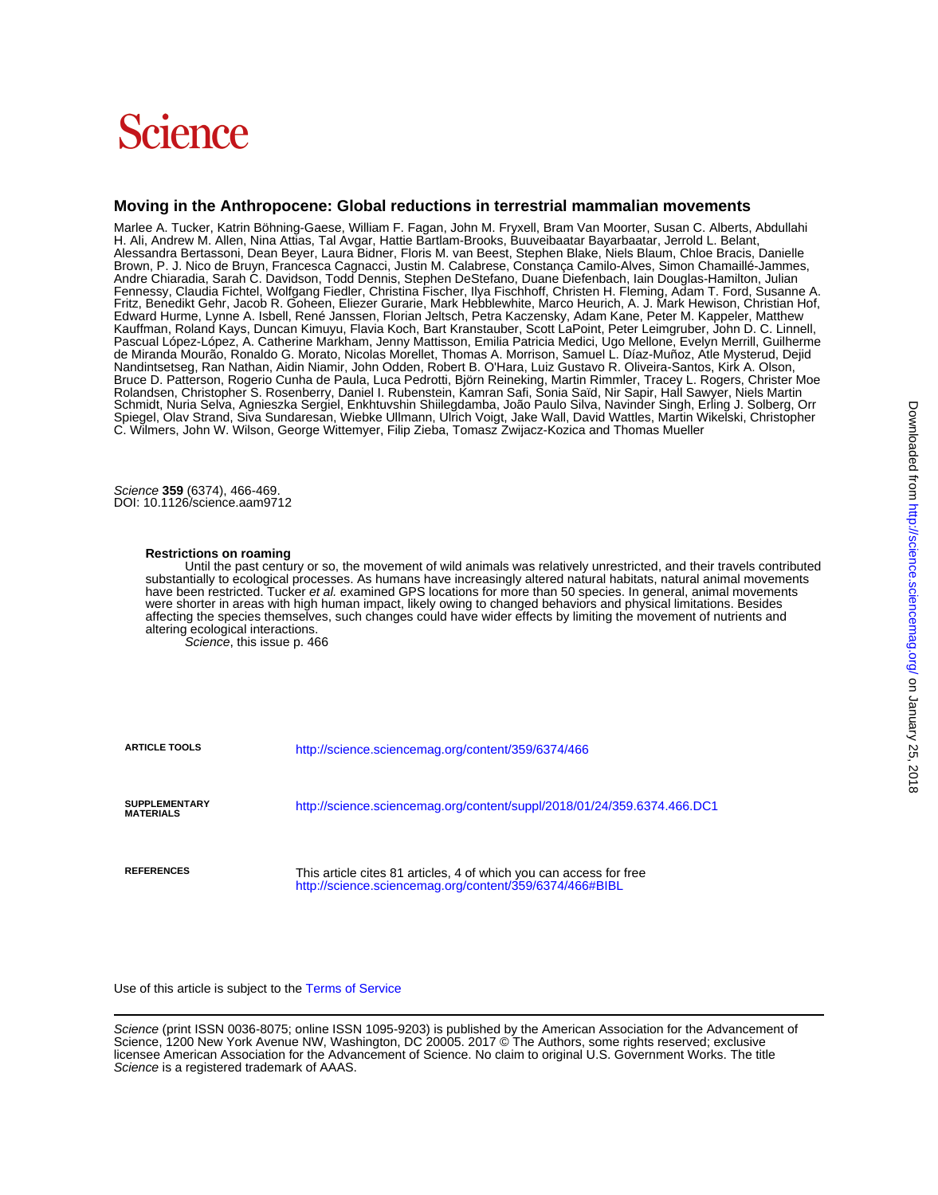# Science

### **Moving in the Anthropocene: Global reductions in terrestrial mammalian movements**

C. Wilmers, John W. Wilson, George Wittemyer, Filip Zieba, Tomasz Zwijacz-Kozica and Thomas Mueller Spiegel, Olav Strand, Siva Sundaresan, Wiebke Ullmann, Ulrich Voigt, Jake Wall, David Wattles, Martin Wikelski, Christopher Schmidt, Nuria Selva, Agnieszka Sergiel, Enkhtuvshin Shiilegdamba, João Paulo Silva, Navinder Singh, Erling J. Solberg, Orr Rolandsen, Christopher S. Rosenberry, Daniel I. Rubenstein, Kamran Safi, Sonia Saïd, Nir Sapir, Hall Sawyer, Niels Martin Nandintsetseg, Ran Nathan, Aidin Niamir, John Odden, Robert B. O'Hara, Luiz Gustavo R. Oliveira-Santos, Kirk A. Olson,<br>Bruce D. Patterson, Rogerio Cunha de Paula, Luca Pedrotti, Björn Reineking, Martin Rimmler, Tracey L. R de Miranda Mourão, Ronaldo G. Morato, Nicolas Morellet, Thomas A. Morrison, Samuel L. Díaz-Muñoz, Atle Mysterud, Dejid Pascual López-López, A. Catherine Markham, Jenny Mattisson, Emilia Patricia Medici, Ugo Mellone, Evelyn Merrill, Guilherme Kauffman, Roland Kays, Duncan Kimuyu, Flavia Koch, Bart Kranstauber, Scott LaPoint, Peter Leimgruber, John D. C. Linnell, Edward Hurme, Lynne A. Isbell, René Janssen, Florian Jeltsch, Petra Kaczensky, Adam Kane, Peter M. Kappeler, Matthew Fritz, Benedikt Gehr, Jacob R. Goheen, Eliezer Gurarie, Mark Hebblewhite, Marco Heurich, A. J. Mark Hewison, Christian Hof, Fennessy, Claudia Fichtel, Wolfgang Fiedler, Christina Fischer, Ilya Fischhoff, Christen H. Fleming, Adam T. Ford, Susanne A. Andre Chiaradia, Sarah C. Davidson, Todd Dennis, Stephen DeStefano, Duane Diefenbach, Iain Douglas-Hamilton, Julian Brown, P. J. Nico de Bruyn, Francesca Cagnacci, Justin M. Calabrese, Constança Camilo-Alves, Simon Chamaillé-Jammes, Alessandra Bertassoni, Dean Beyer, Laura Bidner, Floris M. van Beest, Stephen Blake, Niels Blaum, Chloe Bracis, Danielle H. Ali, Andrew M. Allen, Nina Attias, Tal Avgar, Hattie Bartlam-Brooks, Buuveibaatar Bayarbaatar, Jerrold L. Belant, Marlee A. Tucker, Katrin Böhning-Gaese, William F. Fagan, John M. Fryxell, Bram Van Moorter, Susan C. Alberts, Abdullahi

DOI: 10.1126/science.aam9712 Science **359** (6374), 466-469.

#### **Restrictions on roaming**

altering ecological interactions.<br>Science, this issue p. 466 affecting the species themselves, such changes could have wider effects by limiting the movement of nutrients and were shorter in areas with high human impact, likely owing to changed behaviors and physical limitations. Besides have been restricted. Tucker et al. examined GPS locations for more than 50 species. In general, animal movements substantially to ecological processes. As humans have increasingly altered natural habitats, natural animal movements Until the past century or so, the movement of wild animals was relatively unrestricted, and their travels contributed

| <b>ARTICLE TOOLS</b>                     | http://science.sciencemag.org/content/359/6374/466                                                                            |
|------------------------------------------|-------------------------------------------------------------------------------------------------------------------------------|
| <b>SUPPLEMENTARY</b><br><b>MATERIALS</b> | http://science.sciencemag.org/content/suppl/2018/01/24/359.6374.466.DC1                                                       |
| <b>REFERENCES</b>                        | This article cites 81 articles, 4 of which you can access for free<br>http://science.sciencemag.org/content/359/6374/466#BIBL |

Use of this article is subject to the [Terms of Service](http://www.sciencemag.org/about/terms-service)

Science is a registered trademark of AAAS. licensee American Association for the Advancement of Science. No claim to original U.S. Government Works. The title Science, 1200 New York Avenue NW, Washington, DC 20005. 2017 © The Authors, some rights reserved; exclusive Science (print ISSN 0036-8075; online ISSN 1095-9203) is published by the American Association for the Advancement of